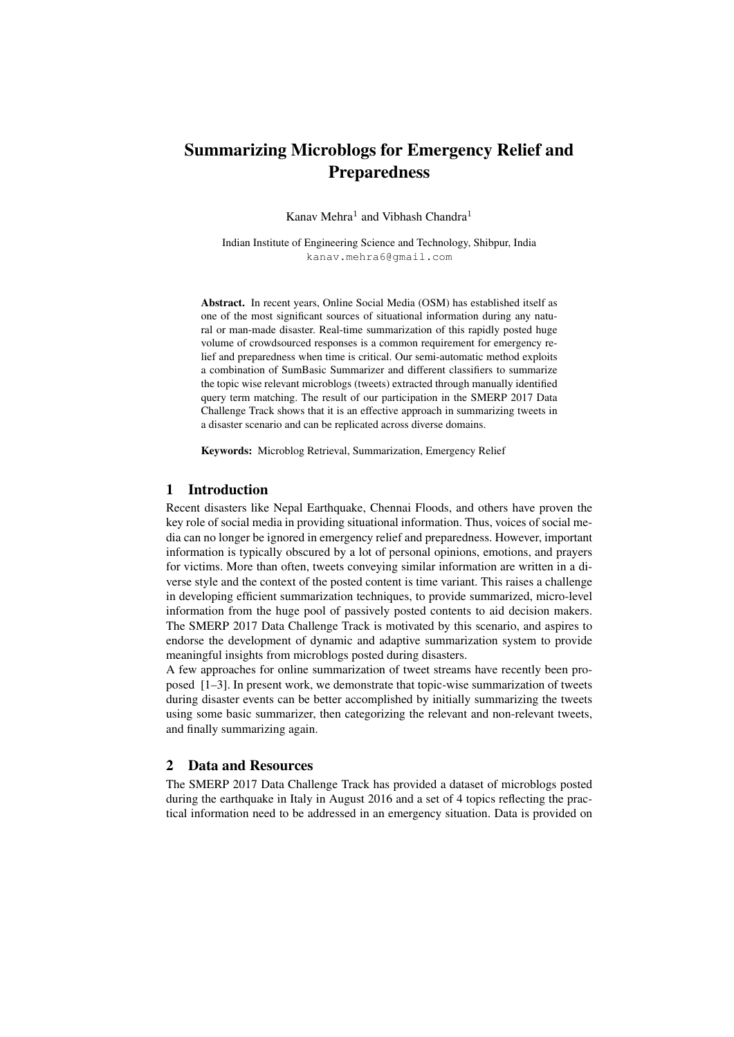# Summarizing Microblogs for Emergency Relief and Preparedness

Kanav Mehra<sup>1</sup> and Vibhash Chandra<sup>1</sup>

Indian Institute of Engineering Science and Technology, Shibpur, India kanav.mehra6@gmail.com

Abstract. In recent years, Online Social Media (OSM) has established itself as one of the most significant sources of situational information during any natural or man-made disaster. Real-time summarization of this rapidly posted huge volume of crowdsourced responses is a common requirement for emergency relief and preparedness when time is critical. Our semi-automatic method exploits a combination of SumBasic Summarizer and different classifiers to summarize the topic wise relevant microblogs (tweets) extracted through manually identified query term matching. The result of our participation in the SMERP 2017 Data Challenge Track shows that it is an effective approach in summarizing tweets in a disaster scenario and can be replicated across diverse domains.

Keywords: Microblog Retrieval, Summarization, Emergency Relief

## 1 Introduction

Recent disasters like Nepal Earthquake, Chennai Floods, and others have proven the key role of social media in providing situational information. Thus, voices of social media can no longer be ignored in emergency relief and preparedness. However, important information is typically obscured by a lot of personal opinions, emotions, and prayers for victims. More than often, tweets conveying similar information are written in a diverse style and the context of the posted content is time variant. This raises a challenge in developing efficient summarization techniques, to provide summarized, micro-level information from the huge pool of passively posted contents to aid decision makers. The SMERP 2017 Data Challenge Track is motivated by this scenario, and aspires to endorse the development of dynamic and adaptive summarization system to provide meaningful insights from microblogs posted during disasters.

A few approaches for online summarization of tweet streams have recently been proposed [1–3]. In present work, we demonstrate that topic-wise summarization of tweets during disaster events can be better accomplished by initially summarizing the tweets using some basic summarizer, then categorizing the relevant and non-relevant tweets, and finally summarizing again.

### 2 Data and Resources

The SMERP 2017 Data Challenge Track has provided a dataset of microblogs posted during the earthquake in Italy in August 2016 and a set of 4 topics reflecting the practical information need to be addressed in an emergency situation. Data is provided on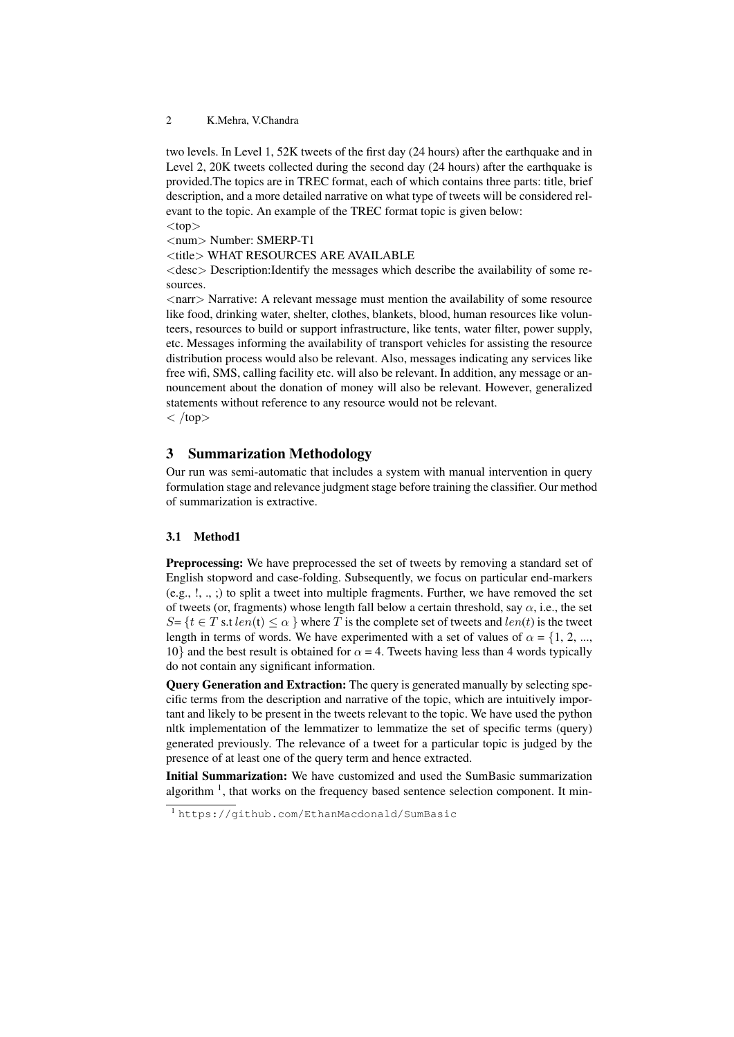2 K.Mehra, V.Chandra

two levels. In Level 1, 52K tweets of the first day (24 hours) after the earthquake and in Level 2, 20K tweets collected during the second day (24 hours) after the earthquake is provided.The topics are in TREC format, each of which contains three parts: title, brief description, and a more detailed narrative on what type of tweets will be considered relevant to the topic. An example of the TREC format topic is given below:  $<$ top $>$ 

<num> Number: SMERP-T1

<title> WHAT RESOURCES ARE AVAILABLE

 $\langle$  desc $\rangle$  Description:Identify the messages which describe the availability of some resources.

<narr> Narrative: A relevant message must mention the availability of some resource like food, drinking water, shelter, clothes, blankets, blood, human resources like volunteers, resources to build or support infrastructure, like tents, water filter, power supply, etc. Messages informing the availability of transport vehicles for assisting the resource distribution process would also be relevant. Also, messages indicating any services like free wifi, SMS, calling facility etc. will also be relevant. In addition, any message or announcement about the donation of money will also be relevant. However, generalized statements without reference to any resource would not be relevant.

 $\langle$  /top $>$ 

## 3 Summarization Methodology

Our run was semi-automatic that includes a system with manual intervention in query formulation stage and relevance judgment stage before training the classifier. Our method of summarization is extractive.

# 3.1 Method1

**Preprocessing:** We have preprocessed the set of tweets by removing a standard set of English stopword and case-folding. Subsequently, we focus on particular end-markers (e.g., !, ., ;) to split a tweet into multiple fragments. Further, we have removed the set of tweets (or, fragments) whose length fall below a certain threshold, say  $\alpha$ , i.e., the set  $S = \{t \in T \text{ s.t } len(t) \leq \alpha \}$  where T is the complete set of tweets and  $len(t)$  is the tweet length in terms of words. We have experimented with a set of values of  $\alpha = \{1, 2, ...,$ 10} and the best result is obtained for  $\alpha = 4$ . Tweets having less than 4 words typically do not contain any significant information.

Query Generation and Extraction: The query is generated manually by selecting specific terms from the description and narrative of the topic, which are intuitively important and likely to be present in the tweets relevant to the topic. We have used the python nltk implementation of the lemmatizer to lemmatize the set of specific terms (query) generated previously. The relevance of a tweet for a particular topic is judged by the presence of at least one of the query term and hence extracted.

Initial Summarization: We have customized and used the SumBasic summarization algorithm<sup>1</sup>, that works on the frequency based sentence selection component. It min-

<sup>1</sup> https://github.com/EthanMacdonald/SumBasic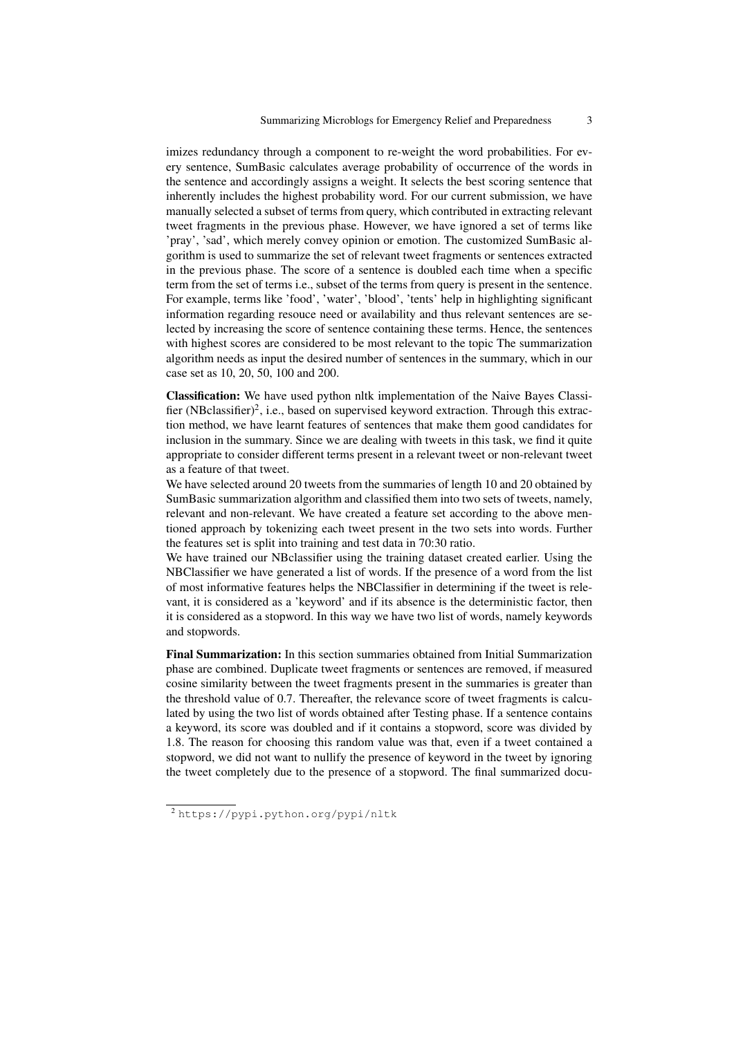imizes redundancy through a component to re-weight the word probabilities. For every sentence, SumBasic calculates average probability of occurrence of the words in the sentence and accordingly assigns a weight. It selects the best scoring sentence that inherently includes the highest probability word. For our current submission, we have manually selected a subset of terms from query, which contributed in extracting relevant tweet fragments in the previous phase. However, we have ignored a set of terms like 'pray', 'sad', which merely convey opinion or emotion. The customized SumBasic algorithm is used to summarize the set of relevant tweet fragments or sentences extracted in the previous phase. The score of a sentence is doubled each time when a specific term from the set of terms i.e., subset of the terms from query is present in the sentence. For example, terms like 'food', 'water', 'blood', 'tents' help in highlighting significant information regarding resouce need or availability and thus relevant sentences are selected by increasing the score of sentence containing these terms. Hence, the sentences with highest scores are considered to be most relevant to the topic The summarization algorithm needs as input the desired number of sentences in the summary, which in our case set as 10, 20, 50, 100 and 200.

Classification: We have used python nltk implementation of the Naive Bayes Classifier (NBclassifier)<sup>2</sup>, i.e., based on supervised keyword extraction. Through this extraction method, we have learnt features of sentences that make them good candidates for inclusion in the summary. Since we are dealing with tweets in this task, we find it quite appropriate to consider different terms present in a relevant tweet or non-relevant tweet as a feature of that tweet.

We have selected around 20 tweets from the summaries of length 10 and 20 obtained by SumBasic summarization algorithm and classified them into two sets of tweets, namely, relevant and non-relevant. We have created a feature set according to the above mentioned approach by tokenizing each tweet present in the two sets into words. Further the features set is split into training and test data in 70:30 ratio.

We have trained our NBclassifier using the training dataset created earlier. Using the NBClassifier we have generated a list of words. If the presence of a word from the list of most informative features helps the NBClassifier in determining if the tweet is relevant, it is considered as a 'keyword' and if its absence is the deterministic factor, then it is considered as a stopword. In this way we have two list of words, namely keywords and stopwords.

Final Summarization: In this section summaries obtained from Initial Summarization phase are combined. Duplicate tweet fragments or sentences are removed, if measured cosine similarity between the tweet fragments present in the summaries is greater than the threshold value of 0.7. Thereafter, the relevance score of tweet fragments is calculated by using the two list of words obtained after Testing phase. If a sentence contains a keyword, its score was doubled and if it contains a stopword, score was divided by 1.8. The reason for choosing this random value was that, even if a tweet contained a stopword, we did not want to nullify the presence of keyword in the tweet by ignoring the tweet completely due to the presence of a stopword. The final summarized docu-

<sup>&</sup>lt;sup>2</sup>https://pypi.python.org/pypi/nltk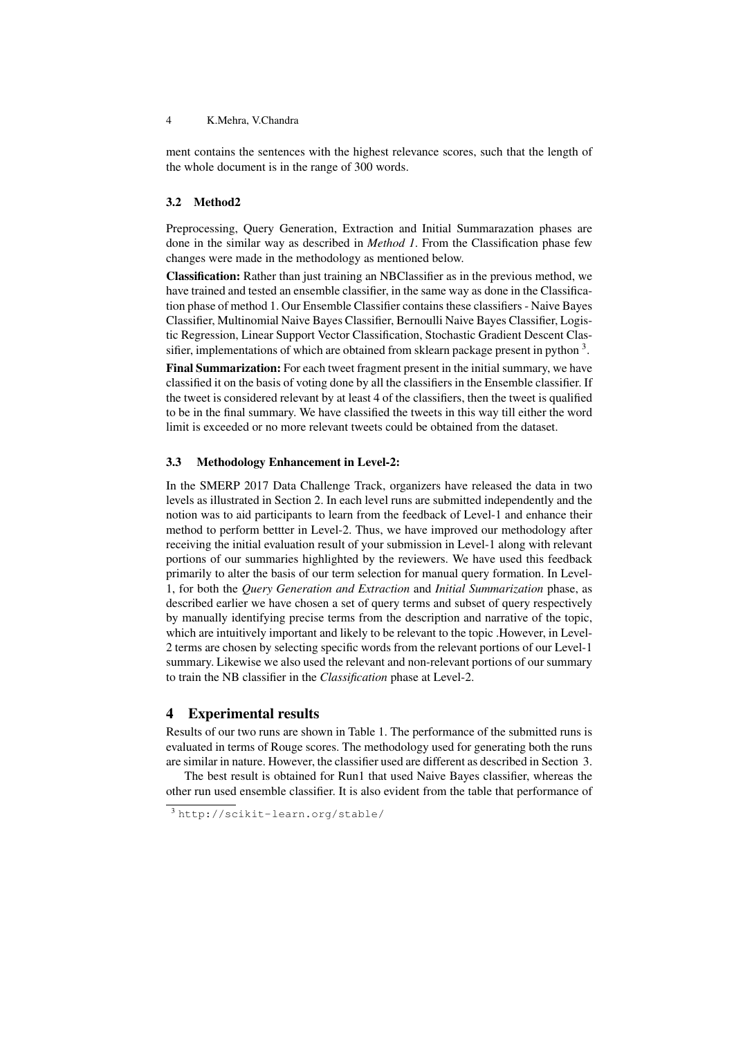#### 4 K.Mehra, V.Chandra

ment contains the sentences with the highest relevance scores, such that the length of the whole document is in the range of 300 words.

#### 3.2 Method2

Preprocessing, Query Generation, Extraction and Initial Summarazation phases are done in the similar way as described in *Method 1*. From the Classification phase few changes were made in the methodology as mentioned below.

Classification: Rather than just training an NBClassifier as in the previous method, we have trained and tested an ensemble classifier, in the same way as done in the Classification phase of method 1. Our Ensemble Classifier contains these classifiers - Naive Bayes Classifier, Multinomial Naive Bayes Classifier, Bernoulli Naive Bayes Classifier, Logistic Regression, Linear Support Vector Classification, Stochastic Gradient Descent Classifier, implementations of which are obtained from sklearn package present in python  $3$ .

Final Summarization: For each tweet fragment present in the initial summary, we have classified it on the basis of voting done by all the classifiers in the Ensemble classifier. If the tweet is considered relevant by at least 4 of the classifiers, then the tweet is qualified to be in the final summary. We have classified the tweets in this way till either the word limit is exceeded or no more relevant tweets could be obtained from the dataset.

#### 3.3 Methodology Enhancement in Level-2:

In the SMERP 2017 Data Challenge Track, organizers have released the data in two levels as illustrated in Section 2. In each level runs are submitted independently and the notion was to aid participants to learn from the feedback of Level-1 and enhance their method to perform bettter in Level-2. Thus, we have improved our methodology after receiving the initial evaluation result of your submission in Level-1 along with relevant portions of our summaries highlighted by the reviewers. We have used this feedback primarily to alter the basis of our term selection for manual query formation. In Level-1, for both the *Query Generation and Extraction* and *Initial Summarization* phase, as described earlier we have chosen a set of query terms and subset of query respectively by manually identifying precise terms from the description and narrative of the topic, which are intuitively important and likely to be relevant to the topic .However, in Level-2 terms are chosen by selecting specific words from the relevant portions of our Level-1 summary. Likewise we also used the relevant and non-relevant portions of our summary to train the NB classifier in the *Classification* phase at Level-2.

#### 4 Experimental results

Results of our two runs are shown in Table 1. The performance of the submitted runs is evaluated in terms of Rouge scores. The methodology used for generating both the runs are similar in nature. However, the classifier used are different as described in Section 3.

The best result is obtained for Run1 that used Naive Bayes classifier, whereas the other run used ensemble classifier. It is also evident from the table that performance of

<sup>3</sup> http://scikit-learn.org/stable/